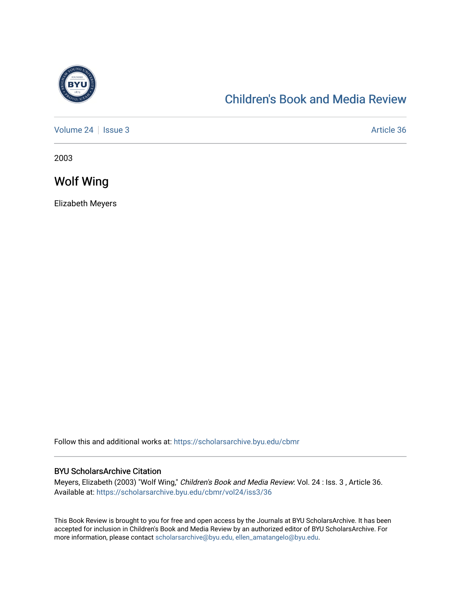

## [Children's Book and Media Review](https://scholarsarchive.byu.edu/cbmr)

[Volume 24](https://scholarsarchive.byu.edu/cbmr/vol24) | [Issue 3](https://scholarsarchive.byu.edu/cbmr/vol24/iss3) Article 36

2003

Wolf Wing

Elizabeth Meyers

Follow this and additional works at: [https://scholarsarchive.byu.edu/cbmr](https://scholarsarchive.byu.edu/cbmr?utm_source=scholarsarchive.byu.edu%2Fcbmr%2Fvol24%2Fiss3%2F36&utm_medium=PDF&utm_campaign=PDFCoverPages) 

## BYU ScholarsArchive Citation

Meyers, Elizabeth (2003) "Wolf Wing," Children's Book and Media Review: Vol. 24 : Iss. 3 , Article 36. Available at: [https://scholarsarchive.byu.edu/cbmr/vol24/iss3/36](https://scholarsarchive.byu.edu/cbmr/vol24/iss3/36?utm_source=scholarsarchive.byu.edu%2Fcbmr%2Fvol24%2Fiss3%2F36&utm_medium=PDF&utm_campaign=PDFCoverPages)

This Book Review is brought to you for free and open access by the Journals at BYU ScholarsArchive. It has been accepted for inclusion in Children's Book and Media Review by an authorized editor of BYU ScholarsArchive. For more information, please contact [scholarsarchive@byu.edu, ellen\\_amatangelo@byu.edu.](mailto:scholarsarchive@byu.edu,%20ellen_amatangelo@byu.edu)